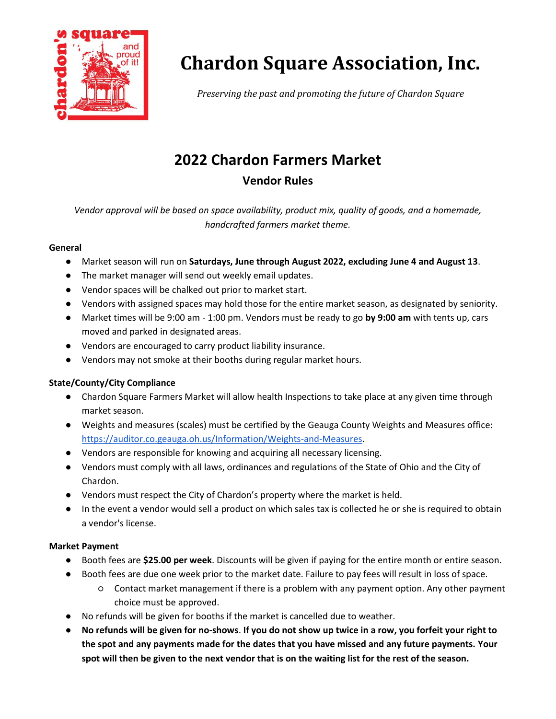

# **Chardon Square Association, Inc.**

*Preserving the past and promoting the future of Chardon Square*

# **2022 Chardon Farmers Market Vendor Rules**

*Vendor approval will be based on space availability, product mix, quality of goods, and a homemade, handcrafted farmers market theme.*

#### **General**

- Market season will run on **Saturdays, June through August 2022, excluding June 4 and August 13**.
- The market manager will send out weekly email updates.
- Vendor spaces will be chalked out prior to market start.
- Vendors with assigned spaces may hold those for the entire market season, as designated by seniority.
- Market times will be 9:00 am 1:00 pm. Vendors must be ready to go **by 9:00 am** with tents up, cars moved and parked in designated areas.
- Vendors are encouraged to carry product liability insurance.
- Vendors may not smoke at their booths during regular market hours.

#### **State/County/City Compliance**

- Chardon Square Farmers Market will allow health Inspections to take place at any given time through market season.
- Weights and measures (scales) must be certified by the Geauga County Weights and Measures office: [https://auditor.co.geauga.oh.us/Information/Weights-and-Measures.](https://auditor.co.geauga.oh.us/Information/Weights-and-Measures)
- Vendors are responsible for knowing and acquiring all necessary licensing.
- Vendors must comply with all laws, ordinances and regulations of the State of Ohio and the City of Chardon.
- Vendors must respect the City of Chardon's property where the market is held.
- In the event a vendor would sell a product on which sales tax is collected he or she is required to obtain a vendor's license.

#### **Market Payment**

- Booth fees are **\$25.00 per week**. Discounts will be given if paying for the entire month or entire season.
- Booth fees are due one week prior to the market date. Failure to pay fees will result in loss of space.
	- Contact market management if there is a problem with any payment option. Any other payment choice must be approved.
- No refunds will be given for booths if the market is cancelled due to weather.
- **No refunds will be given for no-shows**. **If you do not show up twice in a row, you forfeit your right to the spot and any payments made for the dates that you have missed and any future payments. Your spot will then be given to the next vendor that is on the waiting list for the rest of the season.**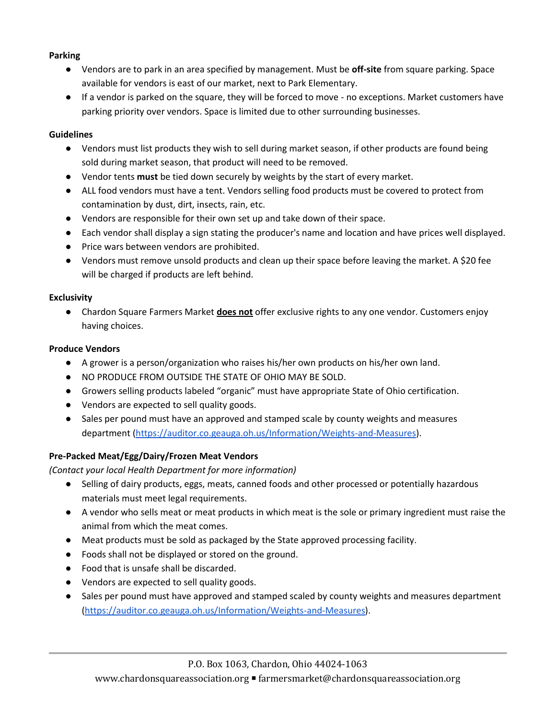#### **Parking**

- Vendors are to park in an area specified by management. Must be **off-site** from square parking. Space available for vendors is east of our market, next to Park Elementary.
- If a vendor is parked on the square, they will be forced to move no exceptions. Market customers have parking priority over vendors. Space is limited due to other surrounding businesses.

#### **Guidelines**

- Vendors must list products they wish to sell during market season, if other products are found being sold during market season, that product will need to be removed.
- Vendor tents **must** be tied down securely by weights by the start of every market.
- ALL food vendors must have a tent. Vendors selling food products must be covered to protect from contamination by dust, dirt, insects, rain, etc.
- Vendors are responsible for their own set up and take down of their space.
- Each vendor shall display a sign stating the producer's name and location and have prices well displayed.
- Price wars between vendors are prohibited.
- Vendors must remove unsold products and clean up their space before leaving the market. A \$20 fee will be charged if products are left behind.

### **Exclusivity**

● Chardon Square Farmers Market **does not** offer exclusive rights to any one vendor. Customers enjoy having choices.

#### **Produce Vendors**

- A grower is a person/organization who raises his/her own products on his/her own land.
- NO PRODUCE FROM OUTSIDE THE STATE OF OHIO MAY BE SOLD.
- Growers selling products labeled "organic" must have appropriate State of Ohio certification.
- Vendors are expected to sell quality goods.
- Sales per pound must have an approved and stamped scale by county weights and measures department [\(https://auditor.co.geauga.oh.us/Information/Weights-and-Measures\)](https://auditor.co.geauga.oh.us/Information/Weights-and-Measures).

## **Pre-Packed Meat/Egg/Dairy/Frozen Meat Vendors**

*(Contact your local Health Department for more information)*

- Selling of dairy products, eggs, meats, canned foods and other processed or potentially hazardous materials must meet legal requirements.
- A vendor who sells meat or meat products in which meat is the sole or primary ingredient must raise the animal from which the meat comes.
- Meat products must be sold as packaged by the State approved processing facility.
- Foods shall not be displayed or stored on the ground.
- Food that is unsafe shall be discarded.
- Vendors are expected to sell quality goods.
- Sales per pound must have approved and stamped scaled by county weights and measures department [\(https://auditor.co.geauga.oh.us/Information/Weights-and-Measures\)](https://auditor.co.geauga.oh.us/Information/Weights-and-Measures).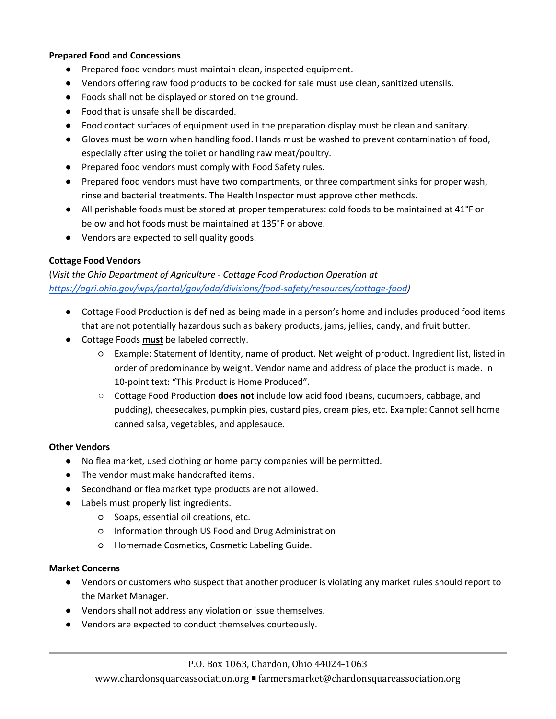#### **Prepared Food and Concessions**

- Prepared food vendors must maintain clean, inspected equipment.
- Vendors offering raw food products to be cooked for sale must use clean, sanitized utensils.
- Foods shall not be displayed or stored on the ground.
- Food that is unsafe shall be discarded.
- Food contact surfaces of equipment used in the preparation display must be clean and sanitary.
- Gloves must be worn when handling food. Hands must be washed to prevent contamination of food, especially after using the toilet or handling raw meat/poultry.
- Prepared food vendors must comply with Food Safety rules.
- Prepared food vendors must have two compartments, or three compartment sinks for proper wash, rinse and bacterial treatments. The Health Inspector must approve other methods.
- All perishable foods must be stored at proper temperatures: cold foods to be maintained at 41°F or below and hot foods must be maintained at 135°F or above.
- Vendors are expected to sell quality goods.

#### **Cottage Food Vendors**

(*Visit the Ohio Department of Agriculture - Cottage Food Production Operation at [https://agri.ohio.gov/wps/portal/gov/oda/divisions/food-safety/resources/cottage-food\)](https://agri.ohio.gov/wps/portal/gov/oda/divisions/food-safety/resources/cottage-food)*

- Cottage Food Production is defined as being made in a person's home and includes produced food items that are not potentially hazardous such as bakery products, jams, jellies, candy, and fruit butter.
- Cottage Foods **must** be labeled correctly.
	- Example: Statement of Identity, name of product. Net weight of product. Ingredient list, listed in order of predominance by weight. Vendor name and address of place the product is made. In 10-point text: "This Product is Home Produced".
	- Cottage Food Production **does not** include low acid food (beans, cucumbers, cabbage, and pudding), cheesecakes, pumpkin pies, custard pies, cream pies, etc. Example: Cannot sell home canned salsa, vegetables, and applesauce.

#### **Other Vendors**

- No flea market, used clothing or home party companies will be permitted.
- The vendor must make handcrafted items.
- Secondhand or flea market type products are not allowed.
- Labels must properly list ingredients.
	- Soaps, essential oil creations, etc.
	- Information through US Food and Drug Administration
	- Homemade Cosmetics, Cosmetic Labeling Guide.

#### **Market Concerns**

- Vendors or customers who suspect that another producer is violating any market rules should report to the Market Manager.
- Vendors shall not address any violation or issue themselves.
- Vendors are expected to conduct themselves courteously.